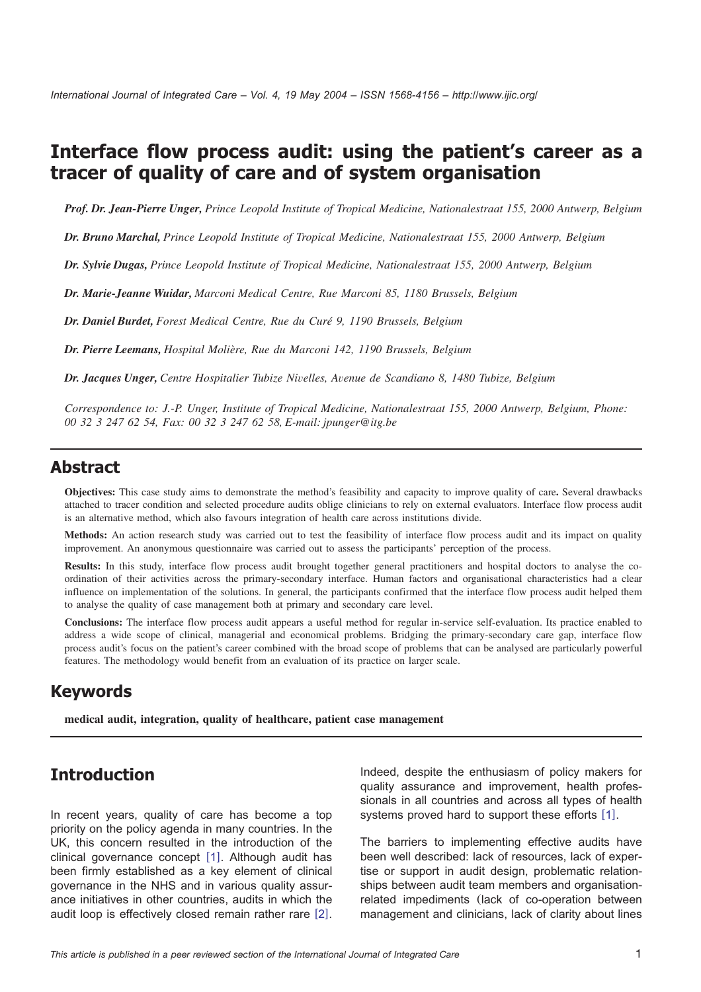# **Interface flow process audit: using the patient's career as a tracer of quality of care and of system organisation**

*Prof. Dr. Jean-Pierre Unger, Prince Leopold Institute of Tropical Medicine, Nationalestraat 155, 2000 Antwerp, Belgium*

*Dr. Bruno Marchal, Prince Leopold Institute of Tropical Medicine, Nationalestraat 155, 2000 Antwerp, Belgium*

*Dr. Sylvie Dugas, Prince Leopold Institute of Tropical Medicine, Nationalestraat 155, 2000 Antwerp, Belgium*

*Dr. Marie-Jeanne Wuidar, Marconi Medical Centre, Rue Marconi 85, 1180 Brussels, Belgium*

*Dr. Daniel Burdet, Forest Medical Centre, Rue du Cure´ 9, 1190 Brussels, Belgium*

*Dr. Pierre Leemans, Hospital Molie`re, Rue du Marconi 142, 1190 Brussels, Belgium*

*Dr. Jacques Unger, Centre Hospitalier Tubize Nivelles, Avenue de Scandiano 8, 1480 Tubize, Belgium*

*Correspondence to: J.-P. Unger, Institute of Tropical Medicine, Nationalestraat 155, 2000 Antwerp, Belgium, Phone: 00 32 3 247 62 54, Fax: 00 32 3 247 62 58, E-mail: jpunger@itg.be*

### **Abstract**

**Objectives:** This case study aims to demonstrate the method's feasibility and capacity to improve quality of care**.** Several drawbacks attached to tracer condition and selected procedure audits oblige clinicians to rely on external evaluators. Interface flow process audit is an alternative method, which also favours integration of health care across institutions divide.

**Methods:** An action research study was carried out to test the feasibility of interface flow process audit and its impact on quality improvement. An anonymous questionnaire was carried out to assess the participants' perception of the process.

**Results:** In this study, interface flow process audit brought together general practitioners and hospital doctors to analyse the coordination of their activities across the primary-secondary interface. Human factors and organisational characteristics had a clear influence on implementation of the solutions. In general, the participants confirmed that the interface flow process audit helped them to analyse the quality of case management both at primary and secondary care level.

**Conclusions:** The interface flow process audit appears a useful method for regular in-service self-evaluation. Its practice enabled to address a wide scope of clinical, managerial and economical problems. Bridging the primary-secondary care gap, interface flow process audit's focus on the patient's career combined with the broad scope of problems that can be analysed are particularly powerful features. The methodology would benefit from an evaluation of its practice on larger scale.

### **Keywords**

**medical audit, integration, quality of healthcare, patient case management**

### **Introduction**

In recent years, quality of care has become a top priority on the policy agenda in many countries. In the UK, this concern resulted in the introduction of the clinical governance concept [[1](#page-7-0)]. Although audit has been firmly established as a key element of clinical governance in the NHS and in various quality assurance initiatives in other countries, audits in which the audit loop is effectively closed remain rather rare  $[2]$  $[2]$  $[2]$ .

Indeed, despite the enthusiasm of policy makers for quality assurance and improvement, health professionals in all countries and across all types of health systems proved hard to support these efforts  $[1]$  $[1]$  $[1]$ .

The barriers to implementing effective audits have been well described: lack of resources, lack of expertise or support in audit design, problematic relationships between audit team members and organisationrelated impediments (lack of co-operation between management and clinicians, lack of clarity about lines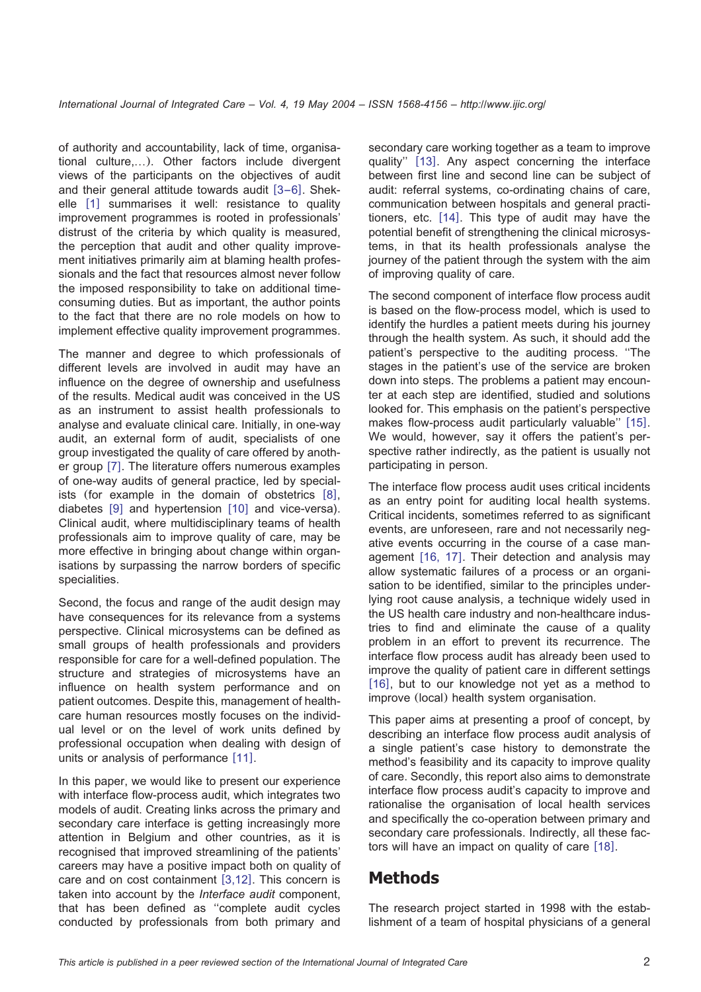of authority and accountability, lack of time, organisational culture,...). Other factors include divergent views of the participants on the objectives of audit and their general attitude towards audit  $[3-6]$  $[3-6]$  $[3-6]$ . Shek-elle [[1](#page-7-0)] summarises it well: resistance to quality improvement programmes is rooted in professionals' distrust of the criteria by which quality is measured, the perception that audit and other quality improvement initiatives primarily aim at blaming health professionals and the fact that resources almost never follow the imposed responsibility to take on additional timeconsuming duties. But as important, the author points to the fact that there are no role models on how to implement effective quality improvement programmes.

The manner and degree to which professionals of different levels are involved in audit may have an influence on the degree of ownership and usefulness of the results. Medical audit was conceived in the US as an instrument to assist health professionals to analyse and evaluate clinical care. Initially, in one-way audit, an external form of audit, specialists of one group investigated the quality of care offered by another group  $[7]$  $[7]$  $[7]$ . The literature offers numerous examples of one-way audits of general practice, led by specialists (for example in the domain of obstetrics  $[8]$  $[8]$  $[8]$ , diabetes  $[9]$  $[9]$  $[9]$  and hypertension  $[10]$  $[10]$  $[10]$  and vice-versa). Clinical audit, where multidisciplinary teams of health professionals aim to improve quality of care, may be more effective in bringing about change within organisations by surpassing the narrow borders of specific specialities.

Second, the focus and range of the audit design may have consequences for its relevance from a systems perspective. Clinical microsystems can be defined as small groups of health professionals and providers responsible for care for a well-defined population. The structure and strategies of microsystems have an influence on health system performance and on patient outcomes. Despite this, management of healthcare human resources mostly focuses on the individual level or on the level of work units defined by professional occupation when dealing with design of units or analysis of performance  $[11]$  $[11]$  $[11]$ .

In this paper, we would like to present our experience with interface flow-process audit, which integrates two models of audit. Creating links across the primary and secondary care interface is getting increasingly more attention in Belgium and other countries, as it is recognised that improved streamlining of the patients' careers may have a positive impact both on quality of care and on cost containment  $[3,12]$  $[3,12]$  $[3,12]$ . This concern is taken into account by the *Interface audit* component, that has been defined as ''complete audit cycles conducted by professionals from both primary and

secondary care working together as a team to improve quality" [[13](#page-8-0)]. Any aspect concerning the interface between first line and second line can be subject of audit: referral systems, co-ordinating chains of care, communication between hospitals and general practi-tioners, etc. [[14](#page-8-0)]. This type of audit may have the potential benefit of strengthening the clinical microsystems, in that its health professionals analyse the journey of the patient through the system with the aim of improving quality of care.

The second component of interface flow process audit is based on the flow-process model, which is used to identify the hurdles a patient meets during his journey through the health system. As such, it should add the patient's perspective to the auditing process. ''The stages in the patient's use of the service are broken down into steps. The problems a patient may encounter at each step are identified, studied and solutions looked for. This emphasis on the patient's perspective makes flow-process audit particularly valuable" [[15](#page-8-0)]. We would, however, say it offers the patient's perspective rather indirectly, as the patient is usually not participating in person.

The interface flow process audit uses critical incidents as an entry point for auditing local health systems. Critical incidents, sometimes referred to as significant events, are unforeseen, rare and not necessarily negative events occurring in the course of a case management  $[16, 17]$  $[16, 17]$  $[16, 17]$ . Their detection and analysis may allow systematic failures of a process or an organisation to be identified, similar to the principles underlying root cause analysis, a technique widely used in the US health care industry and non-healthcare industries to find and eliminate the cause of a quality problem in an effort to prevent its recurrence. The interface flow process audit has already been used to improve the quality of patient care in different settings  $[16]$  $[16]$  $[16]$ , but to our knowledge not yet as a method to improve (local) health system organisation.

This paper aims at presenting a proof of concept, by describing an interface flow process audit analysis of a single patient's case history to demonstrate the method's feasibility and its capacity to improve quality of care. Secondly, this report also aims to demonstrate interface flow process audit's capacity to improve and rationalise the organisation of local health services and specifically the co-operation between primary and secondary care professionals. Indirectly, all these factors will have an impact on quality of care  $[18]$  $[18]$  $[18]$ .

# **Methods**

The research project started in 1998 with the establishment of a team of hospital physicians of a general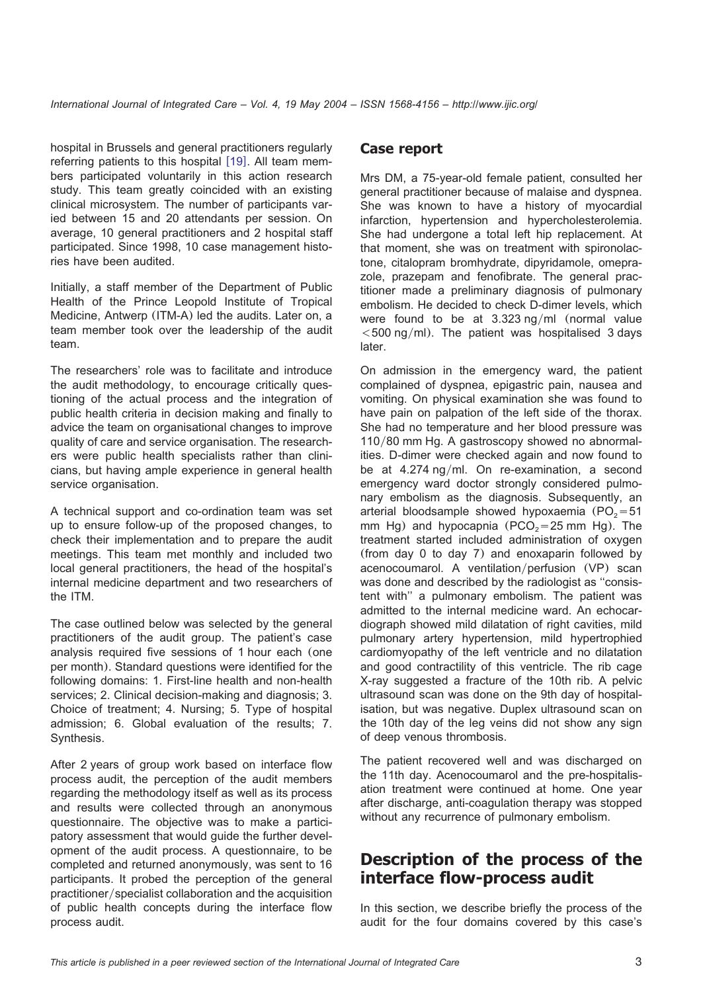hospital in Brussels and general practitioners regularly referring patients to this hospital  $[19]$  $[19]$  $[19]$ . All team members participated voluntarily in this action research study. This team greatly coincided with an existing clinical microsystem. The number of participants varied between 15 and 20 attendants per session. On average, 10 general practitioners and 2 hospital staff participated. Since 1998, 10 case management histories have been audited.

Initially, a staff member of the Department of Public Health of the Prince Leopold Institute of Tropical Medicine, Antwerp (ITM-A) led the audits. Later on, a team member took over the leadership of the audit team.

The researchers' role was to facilitate and introduce the audit methodology, to encourage critically questioning of the actual process and the integration of public health criteria in decision making and finally to advice the team on organisational changes to improve quality of care and service organisation. The researchers were public health specialists rather than clinicians, but having ample experience in general health service organisation.

A technical support and co-ordination team was set up to ensure follow-up of the proposed changes, to check their implementation and to prepare the audit meetings. This team met monthly and included two local general practitioners, the head of the hospital's internal medicine department and two researchers of the ITM.

The case outlined below was selected by the general practitioners of the audit group. The patient's case analysis required five sessions of 1 hour each (one per month). Standard questions were identified for the following domains: 1. First-line health and non-health services; 2. Clinical decision-making and diagnosis; 3. Choice of treatment; 4. Nursing; 5. Type of hospital admission; 6. Global evaluation of the results; 7. Synthesis.

After 2 years of group work based on interface flow process audit, the perception of the audit members regarding the methodology itself as well as its process and results were collected through an anonymous questionnaire. The objective was to make a participatory assessment that would guide the further development of the audit process. A questionnaire, to be completed and returned anonymously, was sent to 16 participants. It probed the perception of the general practitioner/specialist collaboration and the acquisition of public health concepts during the interface flow process audit.

### **Case report**

Mrs DM, a 75-year-old female patient, consulted her general practitioner because of malaise and dyspnea. She was known to have a history of myocardial infarction, hypertension and hypercholesterolemia. She had undergone a total left hip replacement. At that moment, she was on treatment with spironolactone, citalopram bromhydrate, dipyridamole, omeprazole, prazepam and fenofibrate. The general practitioner made a preliminary diagnosis of pulmonary embolism. He decided to check D-dimer levels, which were found to be at  $3.323$  ng/ml (normal value  $<$  500 ng/ml). The patient was hospitalised 3 days later.

On admission in the emergency ward, the patient complained of dyspnea, epigastric pain, nausea and vomiting. On physical examination she was found to have pain on palpation of the left side of the thorax. She had no temperature and her blood pressure was 110/80 mm Hg. A gastroscopy showed no abnormalities. D-dimer were checked again and now found to be at  $4.274$  ng/ml. On re-examination, a second emergency ward doctor strongly considered pulmonary embolism as the diagnosis. Subsequently, an arterial bloodsample showed hypoxaemia ( $PO<sub>2</sub>=51$ ) mm Hg) and hypocapnia (PCO<sub>2</sub>=25 mm Hg). The treatment started included administration of oxygen (from day 0 to day 7) and enoxaparin followed by acenocoumarol. A ventilation/perfusion (VP) scan was done and described by the radiologist as ''consistent with'' a pulmonary embolism. The patient was admitted to the internal medicine ward. An echocardiograph showed mild dilatation of right cavities, mild pulmonary artery hypertension, mild hypertrophied cardiomyopathy of the left ventricle and no dilatation and good contractility of this ventricle. The rib cage X-ray suggested a fracture of the 10th rib. A pelvic ultrasound scan was done on the 9th day of hospitalisation, but was negative. Duplex ultrasound scan on the 10th day of the leg veins did not show any sign of deep venous thrombosis.

The patient recovered well and was discharged on the 11th day. Acenocoumarol and the pre-hospitalisation treatment were continued at home. One year after discharge, anti-coagulation therapy was stopped without any recurrence of pulmonary embolism.

## **Description of the process of the interface flow-process audit**

In this section, we describe briefly the process of the audit for the four domains covered by this case's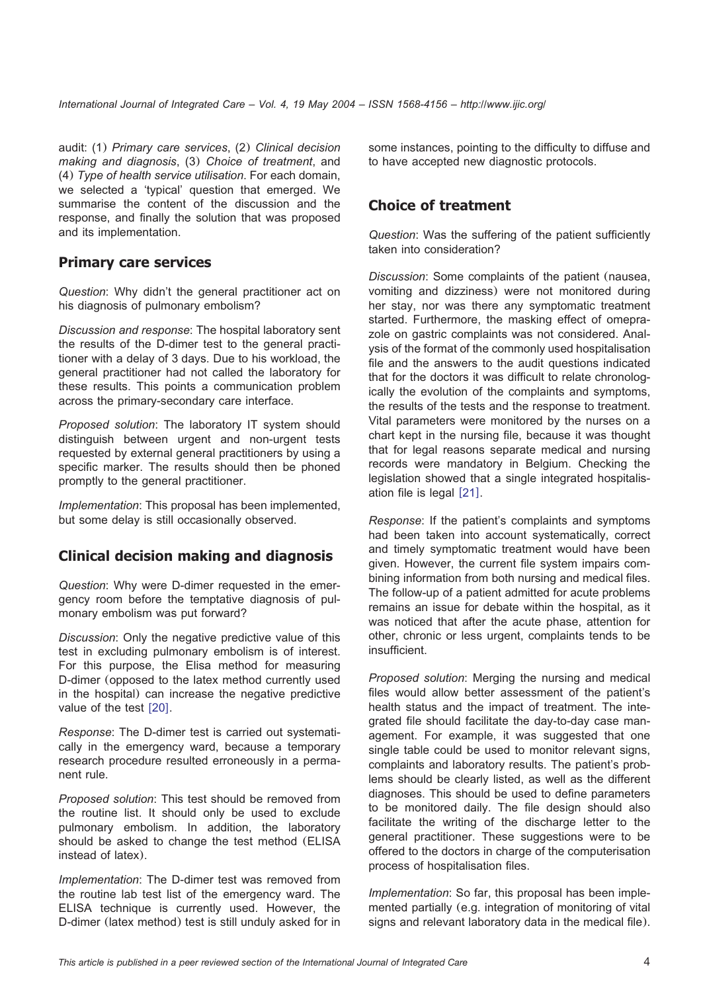audit: (1) *Primary care services*, (2) *Clinical decision making and diagnosis*, (3) *Choice of treatment*, and (4) *Type of health service utilisation*. For each domain, we selected a 'typical' question that emerged. We summarise the content of the discussion and the response, and finally the solution that was proposed and its implementation.

### **Primary care services**

*Question*: Why didn't the general practitioner act on his diagnosis of pulmonary embolism?

*Discussion and response*: The hospital laboratory sent the results of the D-dimer test to the general practitioner with a delay of 3 days. Due to his workload, the general practitioner had not called the laboratory for these results. This points a communication problem across the primary-secondary care interface.

*Proposed solution*: The laboratory IT system should distinguish between urgent and non-urgent tests requested by external general practitioners by using a specific marker. The results should then be phoned promptly to the general practitioner.

*Implementation*: This proposal has been implemented, but some delay is still occasionally observed.

### **Clinical decision making and diagnosis**

*Question*: Why were D-dimer requested in the emergency room before the temptative diagnosis of pulmonary embolism was put forward?

*Discussion*: Only the negative predictive value of this test in excluding pulmonary embolism is of interest. For this purpose, the Elisa method for measuring D-dimer (opposed to the latex method currently used in the hospital) can increase the negative predictive value of the test  $[20]$  $[20]$  $[20]$ .

*Response*: The D-dimer test is carried out systematically in the emergency ward, because a temporary research procedure resulted erroneously in a permanent rule.

*Proposed solution*: This test should be removed from the routine list. It should only be used to exclude pulmonary embolism. In addition, the laboratory should be asked to change the test method (ELISA instead of latex).

*Implementation*: The D-dimer test was removed from the routine lab test list of the emergency ward. The ELISA technique is currently used. However, the D-dimer (latex method) test is still unduly asked for in some instances, pointing to the difficulty to diffuse and to have accepted new diagnostic protocols.

### **Choice of treatment**

*Question*: Was the suffering of the patient sufficiently taken into consideration?

*Discussion*: Some complaints of the patient (nausea, vomiting and dizziness) were not monitored during her stay, nor was there any symptomatic treatment started. Furthermore, the masking effect of omeprazole on gastric complaints was not considered. Analysis of the format of the commonly used hospitalisation file and the answers to the audit questions indicated that for the doctors it was difficult to relate chronologically the evolution of the complaints and symptoms, the results of the tests and the response to treatment. Vital parameters were monitored by the nurses on a chart kept in the nursing file, because it was thought that for legal reasons separate medical and nursing records were mandatory in Belgium. Checking the legislation showed that a single integrated hospitalisation file is legal  $[21]$  $[21]$  $[21]$ .

*Response*: If the patient's complaints and symptoms had been taken into account systematically, correct and timely symptomatic treatment would have been given. However, the current file system impairs combining information from both nursing and medical files. The follow-up of a patient admitted for acute problems remains an issue for debate within the hospital, as it was noticed that after the acute phase, attention for other, chronic or less urgent, complaints tends to be insufficient.

*Proposed solution*: Merging the nursing and medical files would allow better assessment of the patient's health status and the impact of treatment. The integrated file should facilitate the day-to-day case management. For example, it was suggested that one single table could be used to monitor relevant signs, complaints and laboratory results. The patient's problems should be clearly listed, as well as the different diagnoses. This should be used to define parameters to be monitored daily. The file design should also facilitate the writing of the discharge letter to the general practitioner. These suggestions were to be offered to the doctors in charge of the computerisation process of hospitalisation files.

*Implementation*: So far, this proposal has been implemented partially (e.g. integration of monitoring of vital signs and relevant laboratory data in the medical file).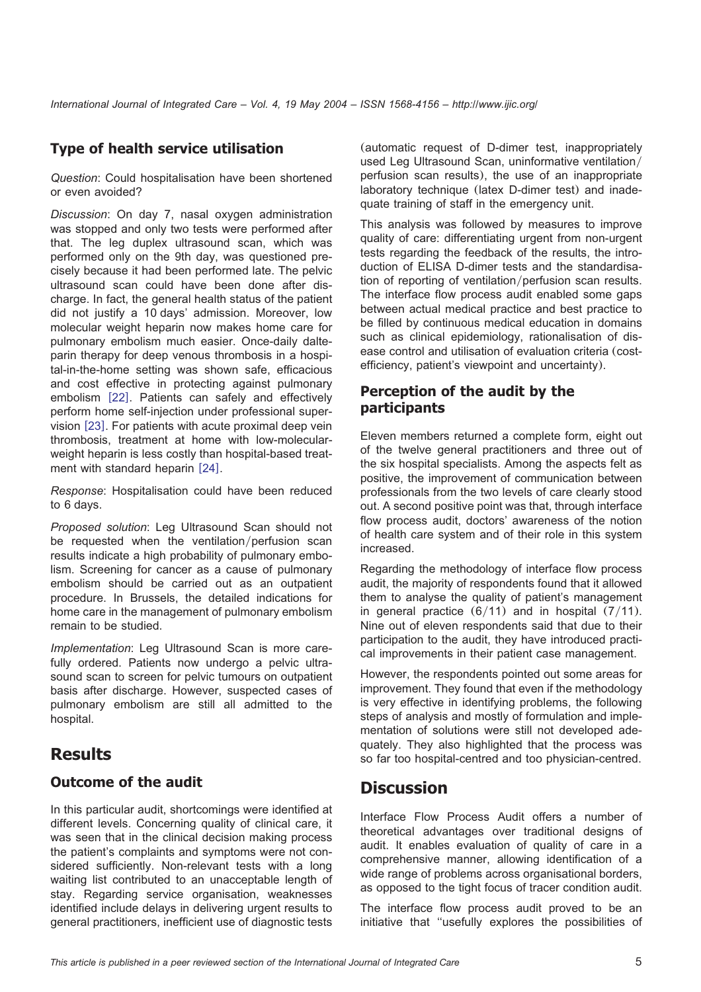### **Type of health service utilisation**

*Question*: Could hospitalisation have been shortened or even avoided?

*Discussion*: On day 7, nasal oxygen administration was stopped and only two tests were performed after that. The leg duplex ultrasound scan, which was performed only on the 9th day, was questioned precisely because it had been performed late. The pelvic ultrasound scan could have been done after discharge. In fact, the general health status of the patient did not justify a 10 days' admission. Moreover, low molecular weight heparin now makes home care for pulmonary embolism much easier. Once-daily dalteparin therapy for deep venous thrombosis in a hospital-in-the-home setting was shown safe, efficacious and cost effective in protecting against pulmonary embolism [[22](#page-8-0)]. Patients can safely and effectively perform home self-injection under professional supervision  $[23]$  $[23]$  $[23]$ . For patients with acute proximal deep vein thrombosis, treatment at home with low-molecularweight heparin is less costly than hospital-based treat-ment with standard heparin [[24](#page-8-0)].

*Response*: Hospitalisation could have been reduced to 6 days.

*Proposed solution*: Leg Ultrasound Scan should not be requested when the ventilation/perfusion scan results indicate a high probability of pulmonary embolism. Screening for cancer as a cause of pulmonary embolism should be carried out as an outpatient procedure. In Brussels, the detailed indications for home care in the management of pulmonary embolism remain to be studied.

*Implementation*: Leg Ultrasound Scan is more carefully ordered. Patients now undergo a pelvic ultrasound scan to screen for pelvic tumours on outpatient basis after discharge. However, suspected cases of pulmonary embolism are still all admitted to the hospital.

# **Results**

### **Outcome of the audit**

In this particular audit, shortcomings were identified at different levels. Concerning quality of clinical care, it was seen that in the clinical decision making process the patient's complaints and symptoms were not considered sufficiently. Non-relevant tests with a long waiting list contributed to an unacceptable length of stay. Regarding service organisation, weaknesses identified include delays in delivering urgent results to general practitioners, inefficient use of diagnostic tests (automatic request of D-dimer test, inappropriately used Leg Ultrasound Scan, uninformative ventilation/ perfusion scan results), the use of an inappropriate laboratory technique (latex D-dimer test) and inadequate training of staff in the emergency unit.

This analysis was followed by measures to improve quality of care: differentiating urgent from non-urgent tests regarding the feedback of the results, the introduction of ELISA D-dimer tests and the standardisation of reporting of ventilation/perfusion scan results. The interface flow process audit enabled some gaps between actual medical practice and best practice to be filled by continuous medical education in domains such as clinical epidemiology, rationalisation of disease control and utilisation of evaluation criteria (costefficiency, patient's viewpoint and uncertainty).

### **Perception of the audit by the participants**

Eleven members returned a complete form, eight out of the twelve general practitioners and three out of the six hospital specialists. Among the aspects felt as positive, the improvement of communication between professionals from the two levels of care clearly stood out. A second positive point was that, through interface flow process audit, doctors' awareness of the notion of health care system and of their role in this system increased.

Regarding the methodology of interface flow process audit, the majority of respondents found that it allowed them to analyse the quality of patient's management in general practice  $(6/11)$  and in hospital  $(7/11)$ . Nine out of eleven respondents said that due to their participation to the audit, they have introduced practical improvements in their patient case management.

However, the respondents pointed out some areas for improvement. They found that even if the methodology is very effective in identifying problems, the following steps of analysis and mostly of formulation and implementation of solutions were still not developed adequately. They also highlighted that the process was so far too hospital-centred and too physician-centred.

# **Discussion**

Interface Flow Process Audit offers a number of theoretical advantages over traditional designs of audit. It enables evaluation of quality of care in a comprehensive manner, allowing identification of a wide range of problems across organisational borders, as opposed to the tight focus of tracer condition audit.

The interface flow process audit proved to be an initiative that ''usefully explores the possibilities of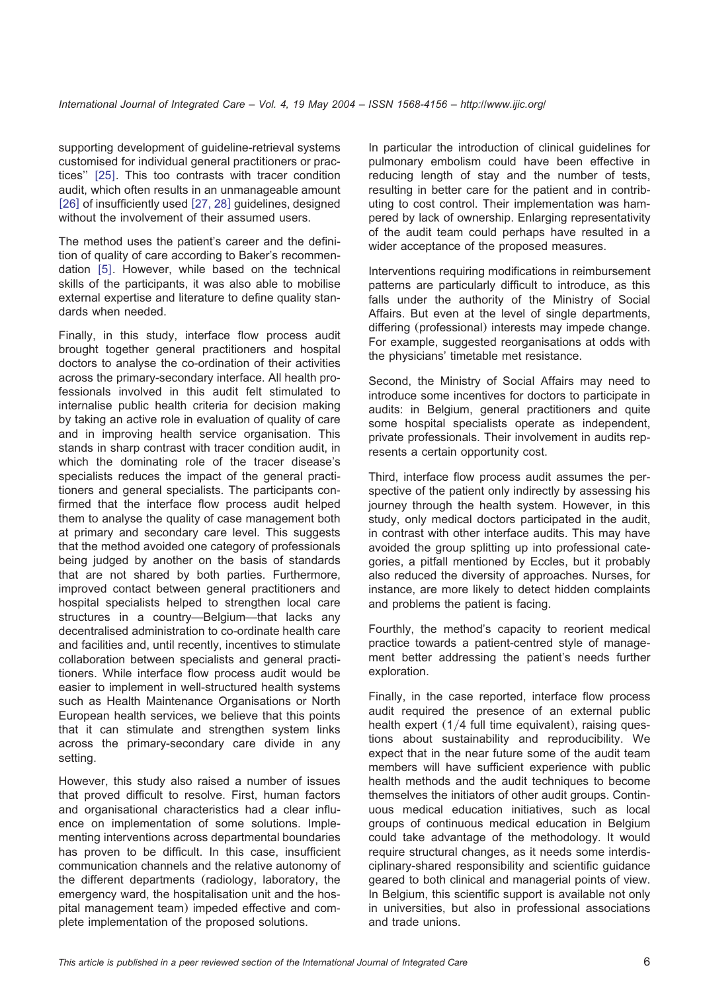supporting development of guideline-retrieval systems customised for individual general practitioners or prac-tices" [[25](#page-8-0)]. This too contrasts with tracer condition audit, which often results in an unmanageable amount [[26](#page-8-0)] of insufficiently used [[27, 28](#page-8-0)] guidelines, designed without the involvement of their assumed users.

The method uses the patient's career and the definition of quality of care according to Baker's recommendation  $[5]$  $[5]$  $[5]$ . However, while based on the technical skills of the participants, it was also able to mobilise external expertise and literature to define quality standards when needed.

Finally, in this study, interface flow process audit brought together general practitioners and hospital doctors to analyse the co-ordination of their activities across the primary-secondary interface. All health professionals involved in this audit felt stimulated to internalise public health criteria for decision making by taking an active role in evaluation of quality of care and in improving health service organisation. This stands in sharp contrast with tracer condition audit, in which the dominating role of the tracer disease's specialists reduces the impact of the general practitioners and general specialists. The participants confirmed that the interface flow process audit helped them to analyse the quality of case management both at primary and secondary care level. This suggests that the method avoided one category of professionals being judged by another on the basis of standards that are not shared by both parties. Furthermore, improved contact between general practitioners and hospital specialists helped to strengthen local care structures in a country—Belgium—that lacks any decentralised administration to co-ordinate health care and facilities and, until recently, incentives to stimulate collaboration between specialists and general practitioners. While interface flow process audit would be easier to implement in well-structured health systems such as Health Maintenance Organisations or North European health services, we believe that this points that it can stimulate and strengthen system links across the primary-secondary care divide in any setting.

However, this study also raised a number of issues that proved difficult to resolve. First, human factors and organisational characteristics had a clear influence on implementation of some solutions. Implementing interventions across departmental boundaries has proven to be difficult. In this case, insufficient communication channels and the relative autonomy of the different departments (radiology, laboratory, the emergency ward, the hospitalisation unit and the hospital management team) impeded effective and complete implementation of the proposed solutions.

In particular the introduction of clinical guidelines for pulmonary embolism could have been effective in reducing length of stay and the number of tests, resulting in better care for the patient and in contributing to cost control. Their implementation was hampered by lack of ownership. Enlarging representativity of the audit team could perhaps have resulted in a wider acceptance of the proposed measures.

Interventions requiring modifications in reimbursement patterns are particularly difficult to introduce, as this falls under the authority of the Ministry of Social Affairs. But even at the level of single departments, differing (professional) interests may impede change. For example, suggested reorganisations at odds with the physicians' timetable met resistance.

Second, the Ministry of Social Affairs may need to introduce some incentives for doctors to participate in audits: in Belgium, general practitioners and quite some hospital specialists operate as independent, private professionals. Their involvement in audits represents a certain opportunity cost.

Third, interface flow process audit assumes the perspective of the patient only indirectly by assessing his journey through the health system. However, in this study, only medical doctors participated in the audit, in contrast with other interface audits. This may have avoided the group splitting up into professional categories, a pitfall mentioned by Eccles, but it probably also reduced the diversity of approaches. Nurses, for instance, are more likely to detect hidden complaints and problems the patient is facing.

Fourthly, the method's capacity to reorient medical practice towards a patient-centred style of management better addressing the patient's needs further exploration.

Finally, in the case reported, interface flow process audit required the presence of an external public health expert  $(1/4$  full time equivalent), raising questions about sustainability and reproducibility. We expect that in the near future some of the audit team members will have sufficient experience with public health methods and the audit techniques to become themselves the initiators of other audit groups. Continuous medical education initiatives, such as local groups of continuous medical education in Belgium could take advantage of the methodology. It would require structural changes, as it needs some interdisciplinary-shared responsibility and scientific guidance geared to both clinical and managerial points of view. In Belgium, this scientific support is available not only in universities, but also in professional associations and trade unions.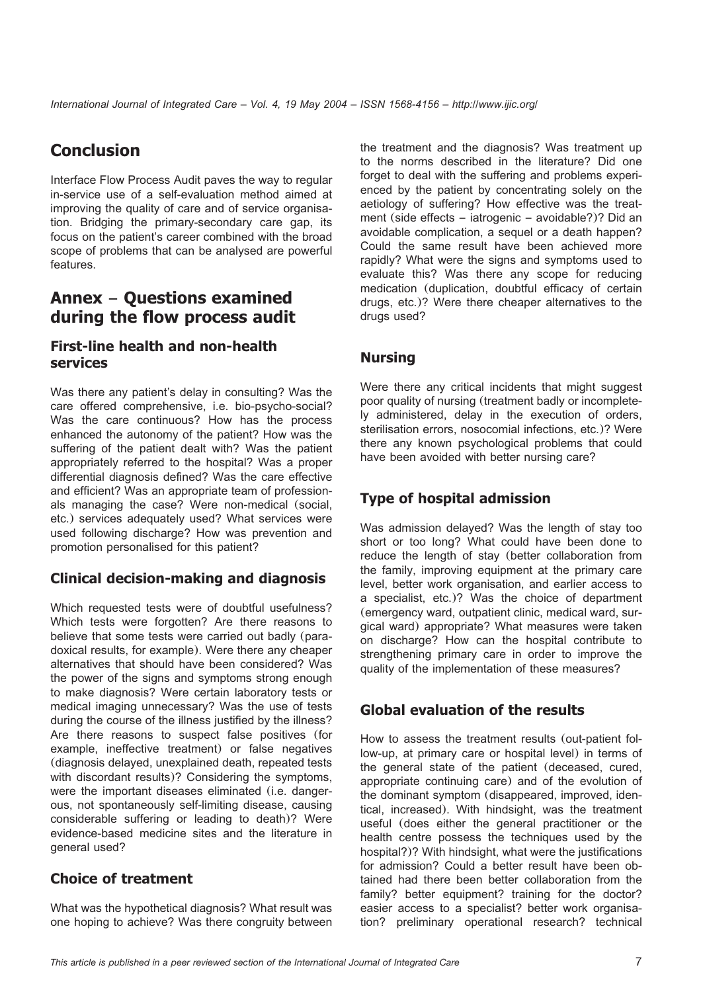# **Conclusion**

Interface Flow Process Audit paves the way to regular in-service use of a self-evaluation method aimed at improving the quality of care and of service organisation. Bridging the primary-secondary care gap, its focus on the patient's career combined with the broad scope of problems that can be analysed are powerful features.

### **Annex** – **Questions examined during the flow process audit**

### **First-line health and non-health services**

Was there any patient's delay in consulting? Was the care offered comprehensive, i.e. bio-psycho-social? Was the care continuous? How has the process enhanced the autonomy of the patient? How was the suffering of the patient dealt with? Was the patient appropriately referred to the hospital? Was a proper differential diagnosis defined? Was the care effective and efficient? Was an appropriate team of professionals managing the case? Were non-medical (social, etc.) services adequately used? What services were used following discharge? How was prevention and promotion personalised for this patient?

### **Clinical decision-making and diagnosis**

Which requested tests were of doubtful usefulness? Which tests were forgotten? Are there reasons to believe that some tests were carried out badly (paradoxical results, for example). Were there any cheaper alternatives that should have been considered? Was the power of the signs and symptoms strong enough to make diagnosis? Were certain laboratory tests or medical imaging unnecessary? Was the use of tests during the course of the illness justified by the illness? Are there reasons to suspect false positives (for example, ineffective treatment) or false negatives (diagnosis delayed, unexplained death, repeated tests with discordant results)? Considering the symptoms, were the important diseases eliminated (i.e. dangerous, not spontaneously self-limiting disease, causing considerable suffering or leading to death)? Were evidence-based medicine sites and the literature in general used?

### **Choice of treatment**

What was the hypothetical diagnosis? What result was one hoping to achieve? Was there congruity between the treatment and the diagnosis? Was treatment up to the norms described in the literature? Did one forget to deal with the suffering and problems experienced by the patient by concentrating solely on the aetiology of suffering? How effective was the treatment (side effects – iatrogenic – avoidable?)? Did an avoidable complication, a sequel or a death happen? Could the same result have been achieved more rapidly? What were the signs and symptoms used to evaluate this? Was there any scope for reducing medication (duplication, doubtful efficacy of certain drugs, etc.)? Were there cheaper alternatives to the drugs used?

#### **Nursing**

Were there any critical incidents that might suggest poor quality of nursing (treatment badly or incompletely administered, delay in the execution of orders, sterilisation errors, nosocomial infections, etc.)? Were there any known psychological problems that could have been avoided with better nursing care?

### **Type of hospital admission**

Was admission delayed? Was the length of stay too short or too long? What could have been done to reduce the length of stay (better collaboration from the family, improving equipment at the primary care level, better work organisation, and earlier access to a specialist, etc.)? Was the choice of department (emergency ward, outpatient clinic, medical ward, surgical ward) appropriate? What measures were taken on discharge? How can the hospital contribute to strengthening primary care in order to improve the quality of the implementation of these measures?

### **Global evaluation of the results**

How to assess the treatment results (out-patient follow-up, at primary care or hospital level) in terms of the general state of the patient (deceased, cured, appropriate continuing care) and of the evolution of the dominant symptom (disappeared, improved, identical, increased). With hindsight, was the treatment useful (does either the general practitioner or the health centre possess the techniques used by the hospital?)? With hindsight, what were the justifications for admission? Could a better result have been obtained had there been better collaboration from the family? better equipment? training for the doctor? easier access to a specialist? better work organisation? preliminary operational research? technical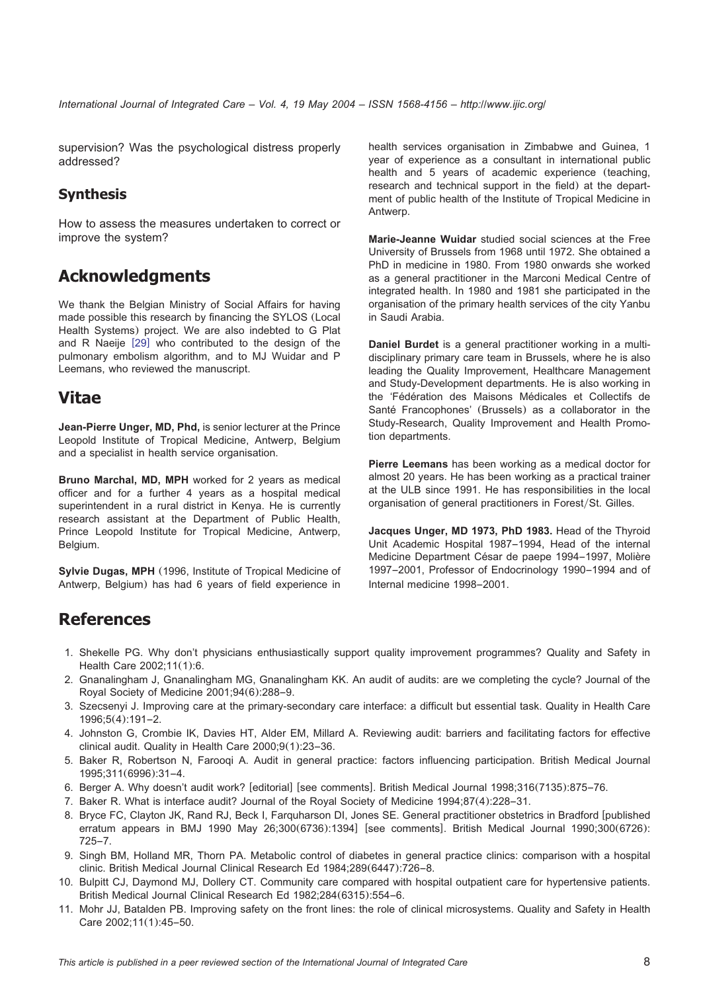<span id="page-7-0"></span>supervision? Was the psychological distress properly addressed?

#### **Synthesis**

How to assess the measures undertaken to correct or improve the system?

## **Acknowledgments**

We thank the Belgian Ministry of Social Affairs for having made possible this research by financing the SYLOS (Local Health Systems) project. We are also indebted to G Plat and R Naeije [[29](#page-8-0)] who contributed to the design of the pulmonary embolism algorithm, and to MJ Wuidar and P Leemans, who reviewed the manuscript.

## **Vitae**

**Jean-Pierre Unger, MD, Phd,** is senior lecturer at the Prince Leopold Institute of Tropical Medicine, Antwerp, Belgium and a specialist in health service organisation.

**Bruno Marchal, MD, MPH** worked for 2 years as medical officer and for a further 4 years as a hospital medical superintendent in a rural district in Kenya. He is currently research assistant at the Department of Public Health, Prince Leopold Institute for Tropical Medicine, Antwerp, Belgium.

**Sylvie Dugas, MPH** (1996, Institute of Tropical Medicine of Antwerp, Belgium) has had 6 years of field experience in health services organisation in Zimbabwe and Guinea, 1 year of experience as a consultant in international public health and 5 years of academic experience (teaching, research and technical support in the field) at the department of public health of the Institute of Tropical Medicine in Antwerp.

**Marie-Jeanne Wuidar** studied social sciences at the Free University of Brussels from 1968 until 1972. She obtained a PhD in medicine in 1980. From 1980 onwards she worked as a general practitioner in the Marconi Medical Centre of integrated health. In 1980 and 1981 she participated in the organisation of the primary health services of the city Yanbu in Saudi Arabia.

**Daniel Burdet** is a general practitioner working in a multidisciplinary primary care team in Brussels, where he is also leading the Quality Improvement, Healthcare Management and Study-Development departments. He is also working in the 'Fédération des Maisons Médicales et Collectifs de Santé Francophones' (Brussels) as a collaborator in the Study-Research, Quality Improvement and Health Promotion departments.

**Pierre Leemans** has been working as a medical doctor for almost 20 years. He has been working as a practical trainer at the ULB since 1991. He has responsibilities in the local organisation of general practitioners in Forest/St. Gilles.

**Jacques Unger, MD 1973, PhD 1983.** Head of the Thyroid Unit Academic Hospital 1987–1994, Head of the internal Medicine Department César de paepe 1994–1997, Molière 1997–2001, Professor of Endocrinology 1990–1994 and of Internal medicine 1998–2001.

# **References**

- 1. Shekelle PG. Why don't physicians enthusiastically support quality improvement programmes? Quality and Safety in Health Care 2002;11(1):6.
- 2. Gnanalingham J, Gnanalingham MG, Gnanalingham KK. An audit of audits: are we completing the cycle? Journal of the Royal Society of Medicine 2001;94(6):288–9.
- 3. Szecsenyi J. Improving care at the primary-secondary care interface: a difficult but essential task. Quality in Health Care 1996;5(4):191–2.
- 4. Johnston G, Crombie IK, Davies HT, Alder EM, Millard A. Reviewing audit: barriers and facilitating factors for effective clinical audit. Quality in Health Care 2000;9(1):23–36.
- 5. Baker R, Robertson N, Farooqi A. Audit in general practice: factors influencing participation. British Medical Journal 1995;311(6996):31–4.
- 6. Berger A. Why doesn't audit work? [editorial] [see comments]. British Medical Journal 1998;316(7135):875–76.
- 7. Baker R. What is interface audit? Journal of the Royal Society of Medicine 1994;87(4):228–31.
- 8. Bryce FC, Clayton JK, Rand RJ, Beck I, Farquharson DI, Jones SE. General practitioner obstetrics in Bradford [published erratum appears in BMJ 1990 May  $26;300(6736):1394$ ] [see comments]. British Medical Journal 1990;300(6726): 725–7.
- 9. Singh BM, Holland MR, Thorn PA. Metabolic control of diabetes in general practice clinics: comparison with a hospital clinic. British Medical Journal Clinical Research Ed 1984;289(6447):726–8.
- 10. Bulpitt CJ, Daymond MJ, Dollery CT. Community care compared with hospital outpatient care for hypertensive patients. British Medical Journal Clinical Research Ed 1982;284(6315):554–6.
- 11. Mohr JJ, Batalden PB. Improving safety on the front lines: the role of clinical microsystems. Quality and Safety in Health Care 2002;11(1):45–50.